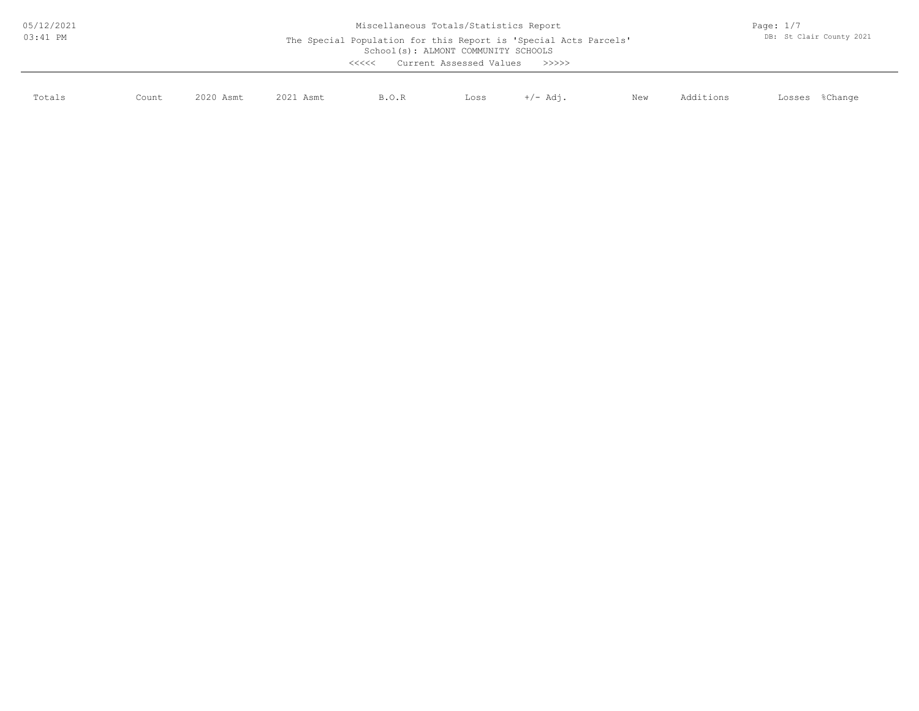| 05/12/2021<br>$03:41$ PM |       |           |           | Miscellaneous Totals/Statistics Report<br>School(s): ALMONT COMMUNITY SCHOOLS<br><<<< | Current Assessed Values | The Special Population for this Report is 'Special Acts Parcels'<br>>>>>> |     |           | Page: $1/7$<br>DB: St Clair County 2021 |  |  |  |  |
|--------------------------|-------|-----------|-----------|---------------------------------------------------------------------------------------|-------------------------|---------------------------------------------------------------------------|-----|-----------|-----------------------------------------|--|--|--|--|
| Totals                   | Count | 2020 Asmt | 2021 Asmt | B.O.R                                                                                 | Loss                    | +/- Adi.                                                                  | New | Additions | %Change<br>Losses                       |  |  |  |  |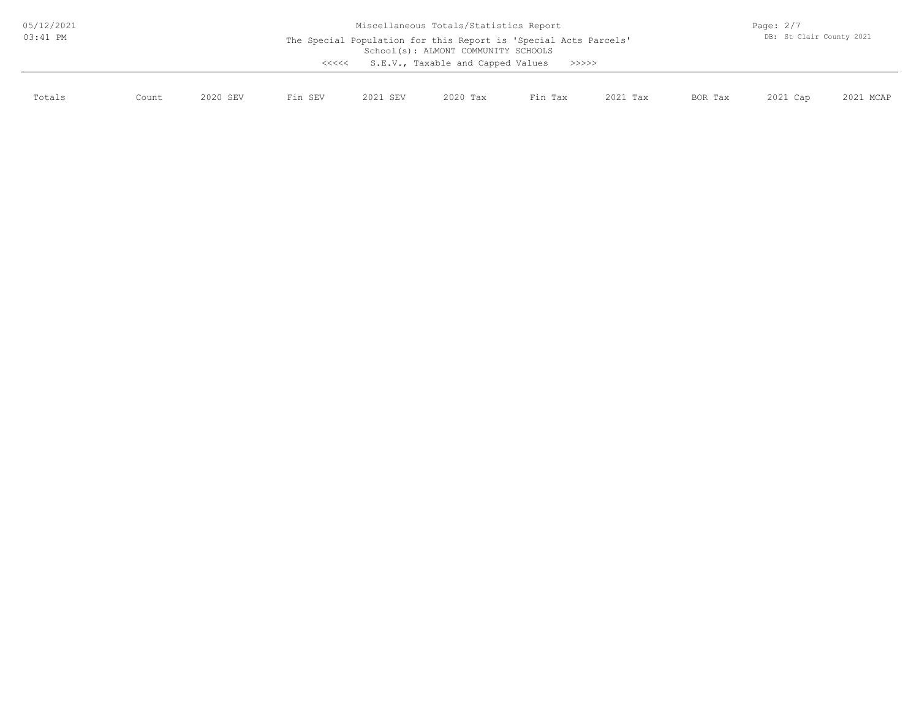| 05/12/2021<br>$03:41$ PM |       | Miscellaneous Totals/Statistics Report<br>The Special Population for this Report is 'Special Acts Parcels'<br>School(s): ALMONT COMMUNITY SCHOOLS<br>S.E.V., Taxable and Capped Values<br>>>>>>><br><<<< |         |          |          |         |          | Page: $2/7$<br>DB: St Clair County 2021 |          |           |
|--------------------------|-------|----------------------------------------------------------------------------------------------------------------------------------------------------------------------------------------------------------|---------|----------|----------|---------|----------|-----------------------------------------|----------|-----------|
| Totals                   | Count | 2020 SEV                                                                                                                                                                                                 | Fin SEV | 2021 SEV | 2020 Tax | Fin Tax | 2021 Tax | BOR Tax                                 | 2021 Cap | 2021 MCAP |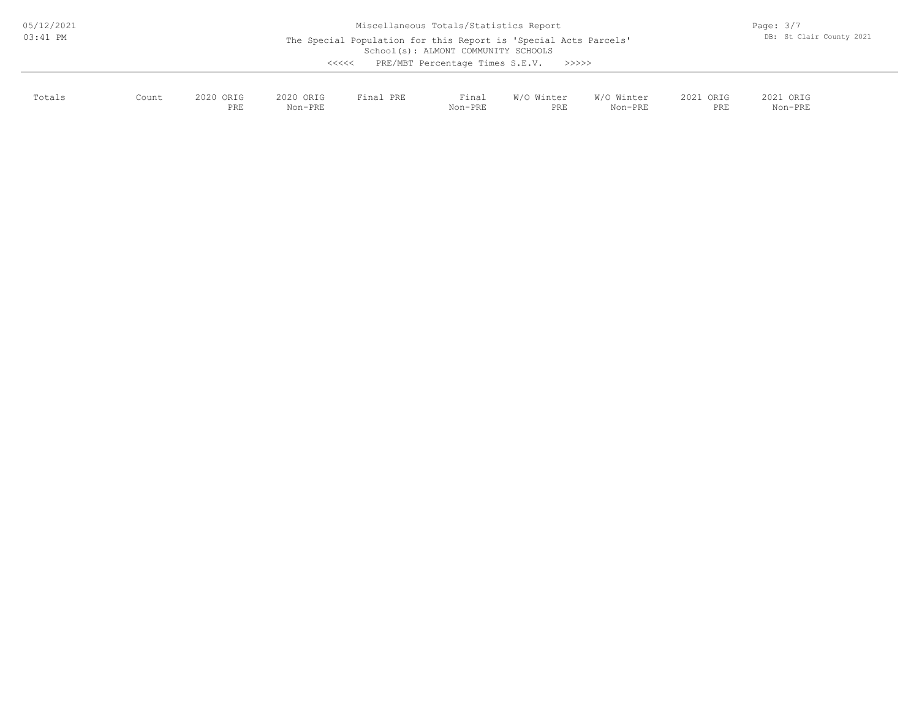| 05/12/2021  |  |
|-------------|--|
| $0.3:41$ PM |  |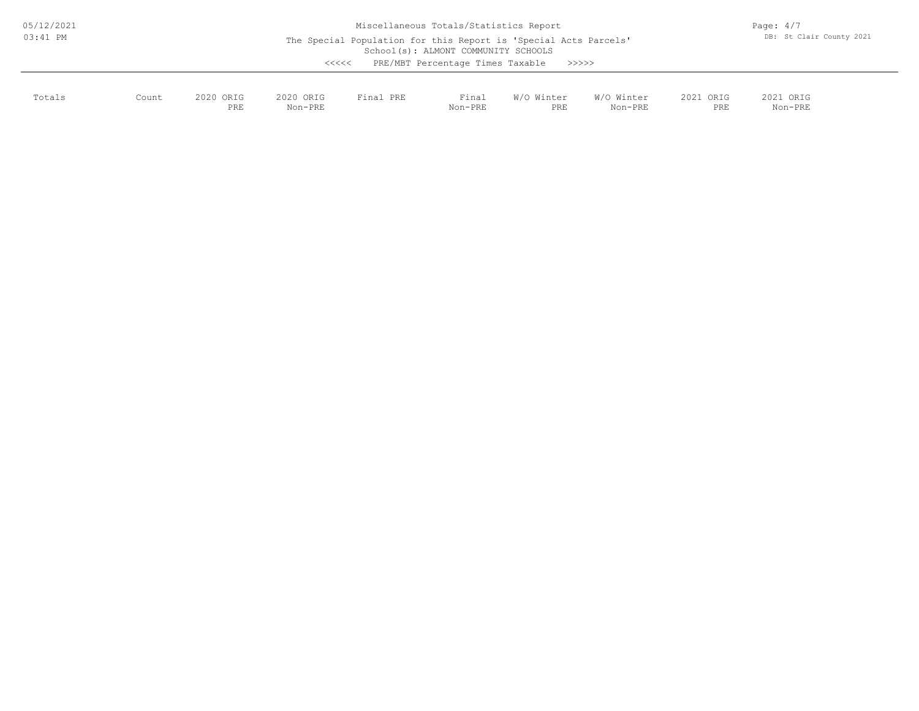| 05/12/2021  |  |
|-------------|--|
| $0.3:41$ PM |  |

<<<<< PRE/MBT Percentage Times Taxable >>>>>

| Totals | Count | 2020 ORIG | 2020 ORIG | Final PRE | Final   | W/O Winter | W/O Winter | 2021 ORIG | 2021 ORIG |
|--------|-------|-----------|-----------|-----------|---------|------------|------------|-----------|-----------|
|        |       | PRE       | Non-PRE   |           | Non-PRE | PRE        | Non-PRE    | PRE       | Non-PRE   |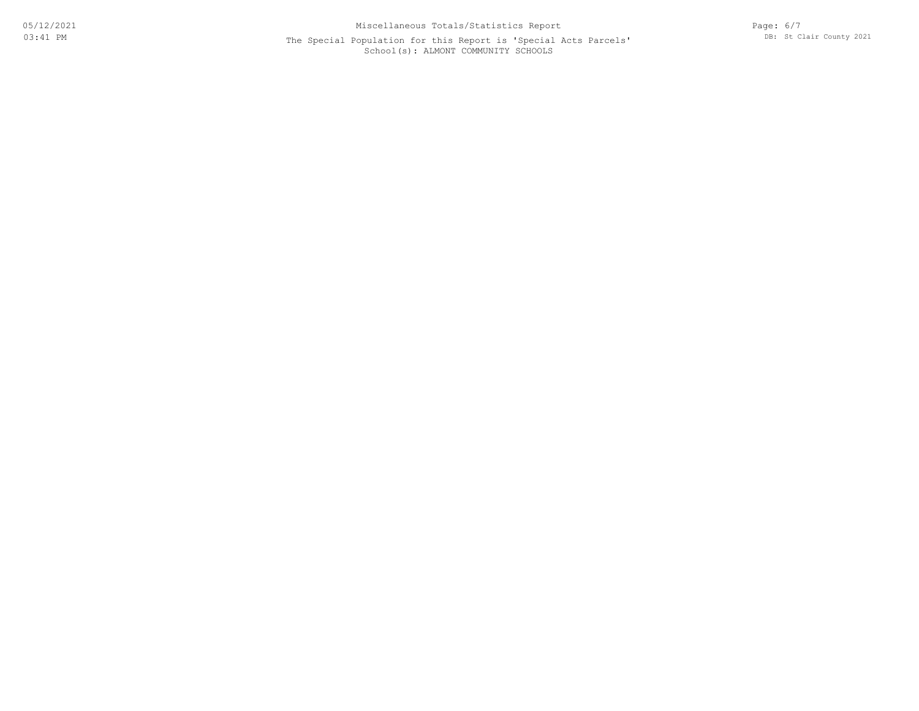## School(s): ALMONT COMMUNITY SCHOOLS The Special Population for this Report is 'Special Acts Parcels'